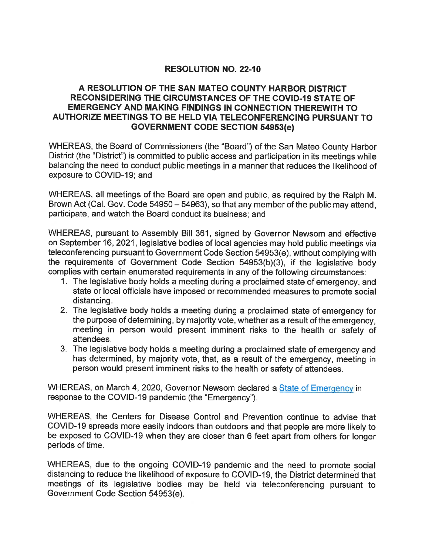## RESOLUTION NO. 22-10

## A RESOLUTION OF THE SAN MATEO COUNTY HARBOR DISTRICT RECONSIDERING THE CIRCUMSTANCES OF THE COVID-19 STATE OF EMERGENCY AND MAKING FINDINGS IN CONNECTION THEREWITH TO AUTHORIZE MEETINGS TO BE HELD VIA TELECONFERENCING PURSUANT TO GOVERNMENT CODE SECTION 54953(e)

WHEREAS, the Board of Commissioners (the "Board") of the San Mateo County Harbor District (the "District") is committed to public access and participation in its meetings while balancing the need to conduct public meetings in a manner that reduces the likelihood of exposure to COVID-19; and

WHEREAS, all meetings of the Board are open and public, as required by the Ralph M. Brown Act (Cal. Gov. Code 54950 – 54963), so that any member of the public may attend. participate, and watch the Board conduct its business; and

WHEREAS, pursuant to Assembly Bill 361, signed by Governor Newsom and effective on September 16, 2021, legislative bodies of local agencies may hold public meetings via teleconferencing pursuant to Government Code Section 54953(e), without complying with the requirements of Government Code Section 54953(b)(3), if the legislative body complies with certain enumerated requirements in any of the following circumstances:

- 1. The legislative body holds a meeting during a proclaimed state of emergency, and state or local officials have imposed or recommended measures to promote social distancing.
- 2. The legislative body holds a meeting during a proclaimed state of emergency for the purpose of determining, by majority vote, whether as a result of the emergency, meeting in person would present imminent risks to the health or safety of attendees.
- 3. The legislative body holds a meeting during a proclaimed state of emergency and has determined, by majority vote, that, as a result of the emergency, meeting in person would present imminent risks to the health or safety of attendees.

WHEREAS, on March 4, 2020, Governor Newsom declared a State of Emergency in response to the COVID-19 pandemic (the "Emergency").

WHEREAS, the Centers for Disease Control and Prevention continue to advise that COVID-19 spreads more easily indoors than outdoors and that people are more likely to be exposed to COVID-19 when they are closer than 6 feet apart from others for longer periods of time.

WHEREAS, due to the ongoing COVID-19 pandemic and the need to promote social distancing to reduce the likelihood of exposure to COVID-19, the District determined that meetings of its legislative bodies may be held via teleconferencing pursuant to Government Code Section 54953(e).